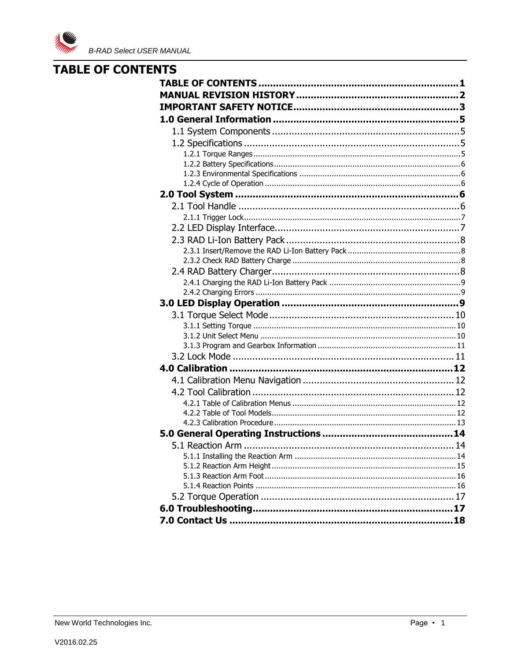

# <span id="page-0-0"></span>**TABLE OF CONTENTS**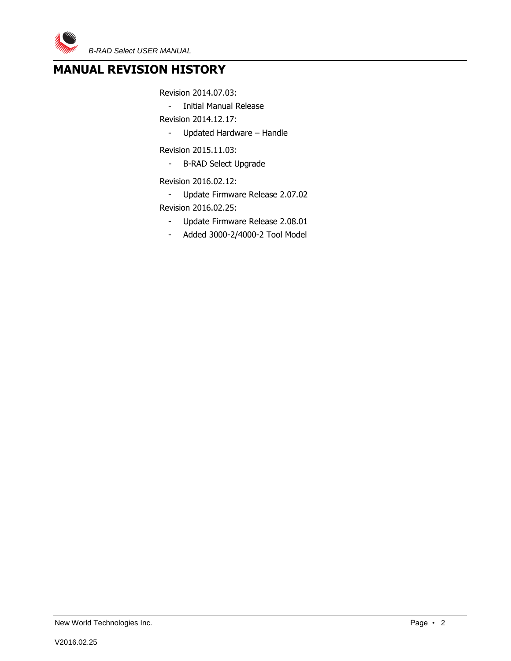

# <span id="page-1-0"></span>**MANUAL REVISION HISTORY**

Revision 2014.07.03:

- Initial Manual Release

Revision 2014.12.17:

- Updated Hardware – Handle

Revision 2015.11.03:

- B-RAD Select Upgrade

Revision 2016.02.12:

- Update Firmware Release 2.07.02 Revision 2016.02.25:
	- Update Firmware Release 2.08.01
	- Added 3000-2/4000-2 Tool Model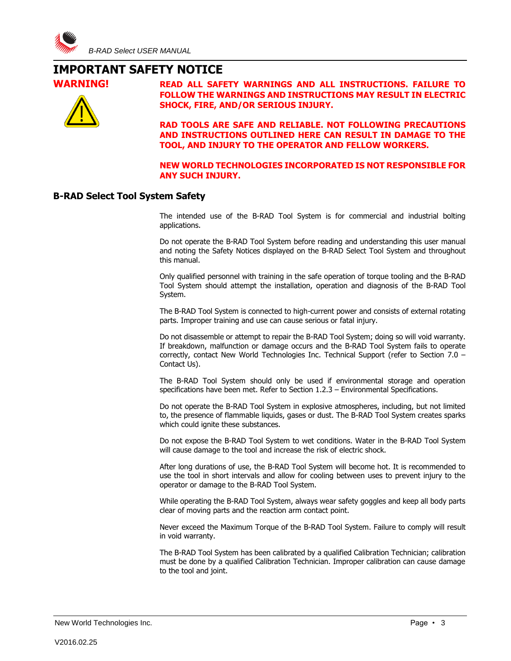

# <span id="page-2-0"></span>**IMPORTANT SAFETY NOTICE**





**WARNING! READ ALL SAFETY WARNINGS AND ALL INSTRUCTIONS. FAILURE TO FOLLOW THE WARNINGS AND INSTRUCTIONS MAY RESULT IN ELECTRIC SHOCK, FIRE, AND/OR SERIOUS INJURY.**

> **RAD TOOLS ARE SAFE AND RELIABLE. NOT FOLLOWING PRECAUTIONS AND INSTRUCTIONS OUTLINED HERE CAN RESULT IN DAMAGE TO THE TOOL, AND INJURY TO THE OPERATOR AND FELLOW WORKERS.**

> **NEW WORLD TECHNOLOGIES INCORPORATED IS NOT RESPONSIBLE FOR ANY SUCH INJURY.**

#### **B-RAD Select Tool System Safety**

The intended use of the B-RAD Tool System is for commercial and industrial bolting applications.

Do not operate the B-RAD Tool System before reading and understanding this user manual and noting the Safety Notices displayed on the B-RAD Select Tool System and throughout this manual.

Only qualified personnel with training in the safe operation of torque tooling and the B-RAD Tool System should attempt the installation, operation and diagnosis of the B-RAD Tool System.

The B-RAD Tool System is connected to high-current power and consists of external rotating parts. Improper training and use can cause serious or fatal injury.

Do not disassemble or attempt to repair the B-RAD Tool System; doing so will void warranty. If breakdown, malfunction or damage occurs and the B-RAD Tool System fails to operate correctly, contact New World Technologies Inc. Technical Support (refer to Section 7.0 – Contact Us).

The B-RAD Tool System should only be used if environmental storage and operation specifications have been met. Refer to Section 1.2.3 – Environmental Specifications.

Do not operate the B-RAD Tool System in explosive atmospheres, including, but not limited to, the presence of flammable liquids, gases or dust. The B-RAD Tool System creates sparks which could ignite these substances.

Do not expose the B-RAD Tool System to wet conditions. Water in the B-RAD Tool System will cause damage to the tool and increase the risk of electric shock.

After long durations of use, the B-RAD Tool System will become hot. It is recommended to use the tool in short intervals and allow for cooling between uses to prevent injury to the operator or damage to the B-RAD Tool System.

While operating the B-RAD Tool System, always wear safety goggles and keep all body parts clear of moving parts and the reaction arm contact point.

Never exceed the Maximum Torque of the B-RAD Tool System. Failure to comply will result in void warranty.

The B-RAD Tool System has been calibrated by a qualified Calibration Technician; calibration must be done by a qualified Calibration Technician. Improper calibration can cause damage to the tool and joint.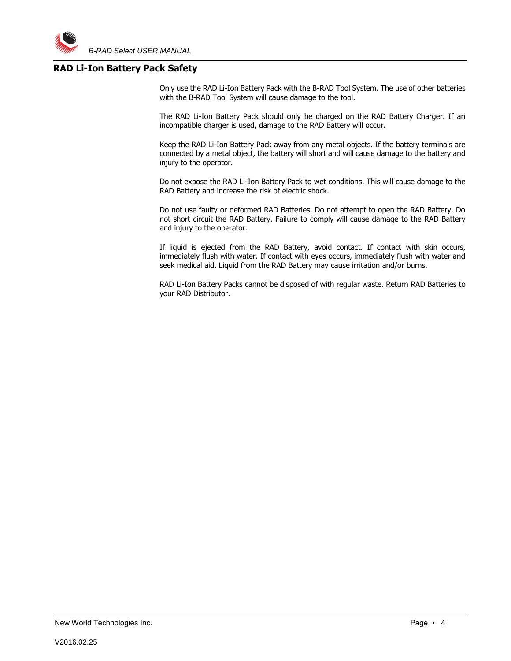#### **RAD Li-Ion Battery Pack Safety**

Only use the RAD Li-Ion Battery Pack with the B-RAD Tool System. The use of other batteries with the B-RAD Tool System will cause damage to the tool.

The RAD Li-Ion Battery Pack should only be charged on the RAD Battery Charger. If an incompatible charger is used, damage to the RAD Battery will occur.

Keep the RAD Li-Ion Battery Pack away from any metal objects. If the battery terminals are connected by a metal object, the battery will short and will cause damage to the battery and injury to the operator.

Do not expose the RAD Li-Ion Battery Pack to wet conditions. This will cause damage to the RAD Battery and increase the risk of electric shock.

Do not use faulty or deformed RAD Batteries. Do not attempt to open the RAD Battery. Do not short circuit the RAD Battery. Failure to comply will cause damage to the RAD Battery and injury to the operator.

If liquid is ejected from the RAD Battery, avoid contact. If contact with skin occurs, immediately flush with water. If contact with eyes occurs, immediately flush with water and seek medical aid. Liquid from the RAD Battery may cause irritation and/or burns.

RAD Li-Ion Battery Packs cannot be disposed of with regular waste. Return RAD Batteries to your RAD Distributor.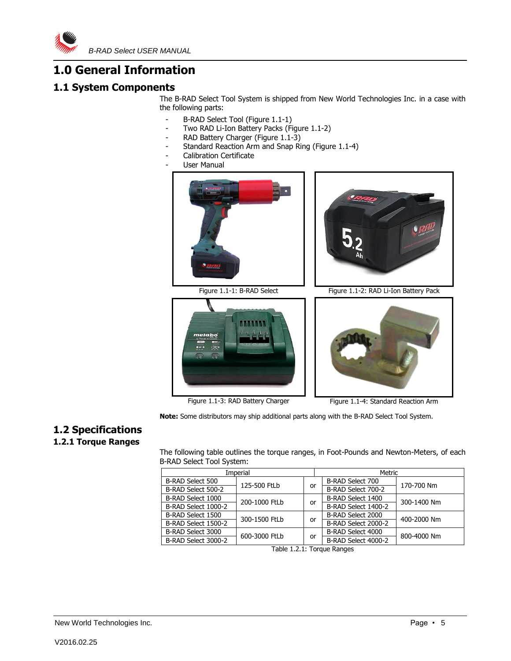

# <span id="page-4-0"></span>**1.0 General Information**

# <span id="page-4-1"></span>**1.1 System Components**

The B-RAD Select Tool System is shipped from New World Technologies Inc. in a case with the following parts:

- B-RAD Select Tool (Figure 1.1-1)
- Two RAD Li-Ion Battery Packs (Figure 1.1-2)
- RAD Battery Charger (Figure 1.1-3)
- Standard Reaction Arm and Snap Ring (Figure 1.1-4)
- Calibration Certificate
- User Manual







Figure 1.1-3: RAD Battery Charger Figure 1.1-4: Standard Reaction Arm

**Note:** Some distributors may ship additional parts along with the B-RAD Select Tool System.

# <span id="page-4-2"></span>**1.2 Specifications**

## <span id="page-4-3"></span>**1.2.1 Torque Ranges**

The following table outlines the torque ranges, in Foot-Pounds and Newton-Meters, of each B-RAD Select Tool System:

| Imperial                   |               |    | Metric              |             |
|----------------------------|---------------|----|---------------------|-------------|
| B-RAD Select 500           | 125-500 FtLb  |    | B-RAD Select 700    | 170-700 Nm  |
| B-RAD Select 500-2         |               | or | B-RAD Select 700-2  |             |
| B-RAD Select 1000          | 200-1000 FtLb |    | B-RAD Select 1400   | 300-1400 Nm |
| B-RAD Select 1000-2        |               | or | B-RAD Select 1400-2 |             |
| B-RAD Select 1500          | 300-1500 FtLb |    | B-RAD Select 2000   | 400-2000 Nm |
| B-RAD Select 1500-2        |               | or | B-RAD Select 2000-2 |             |
| B-RAD Select 3000          | 600-3000 FtLb |    | B-RAD Select 4000   | 800-4000 Nm |
| B-RAD Select 3000-2        |               | or | B-RAD Select 4000-2 |             |
| Table 4.0.4. Tanana Dawson |               |    |                     |             |

Table 1.2.1: Torque Ranges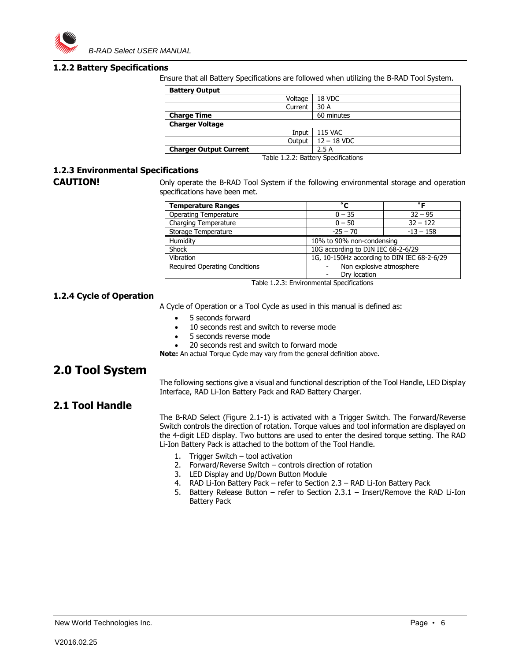

#### <span id="page-5-0"></span>**1.2.2 Battery Specifications**

Ensure that all Battery Specifications are followed when utilizing the B-RAD Tool System.

| <b>Battery Output</b>         |           |                |
|-------------------------------|-----------|----------------|
|                               | Voltage   | 18 VDC         |
|                               | Current   | 30 A           |
| <b>Charge Time</b>            |           | 60 minutes     |
| <b>Charger Voltage</b>        |           |                |
|                               | Input     | <b>115 VAC</b> |
|                               | Output    | $12 - 18$ VDC  |
| <b>Charger Output Current</b> |           | 2.5A           |
|                               | _ _ _ _ _ | $\sim$         |

Table 1.2.2: Battery Specifications

#### <span id="page-5-1"></span>**1.2.3 Environmental Specifications**

**CAUTION!** Only operate the B-RAD Tool System if the following environmental storage and operation specifications have been met.

| <b>Temperature Ranges</b>            | °С                                          | $^{\circ}$ $\blacksquare$ |
|--------------------------------------|---------------------------------------------|---------------------------|
| <b>Operating Temperature</b>         | $0 - 35$                                    | $32 - 95$                 |
| Charging Temperature                 | $0 - 50$                                    | $32 - 122$                |
| Storage Temperature                  | $-25 - 70$                                  | $-13 - 158$               |
| Humidity                             | 10% to 90% non-condensing                   |                           |
| Shock                                | 10G according to DIN IEC 68-2-6/29          |                           |
| Vibration                            | 1G, 10-150Hz according to DIN IEC 68-2-6/29 |                           |
| <b>Required Operating Conditions</b> | Non explosive atmosphere<br>Drv location    |                           |

Table 1.2.3: Environmental Specifications

#### <span id="page-5-2"></span>**1.2.4 Cycle of Operation**

A Cycle of Operation or a Tool Cycle as used in this manual is defined as:

- 5 seconds forward
- 10 seconds rest and switch to reverse mode
- 5 seconds reverse mode
- 20 seconds rest and switch to forward mode

**Note:** An actual Torque Cycle may vary from the general definition above.

# <span id="page-5-3"></span>**2.0 Tool System**

The following sections give a visual and functional description of the Tool Handle, LED Display Interface, RAD Li-Ion Battery Pack and RAD Battery Charger.

## <span id="page-5-4"></span>**2.1 Tool Handle**

The B-RAD Select (Figure 2.1-1) is activated with a Trigger Switch. The Forward/Reverse Switch controls the direction of rotation. Torque values and tool information are displayed on the 4-digit LED display. Two buttons are used to enter the desired torque setting. The RAD Li-Ion Battery Pack is attached to the bottom of the Tool Handle.

- 1. Trigger Switch tool activation
- 2. Forward/Reverse Switch controls direction of rotation
- 3. LED Display and Up/Down Button Module
- 4. RAD Li-Ion Battery Pack refer to Section 2.3 RAD Li-Ion Battery Pack
- 5. Battery Release Button refer to Section 2.3.1 Insert/Remove the RAD Li-Ion Battery Pack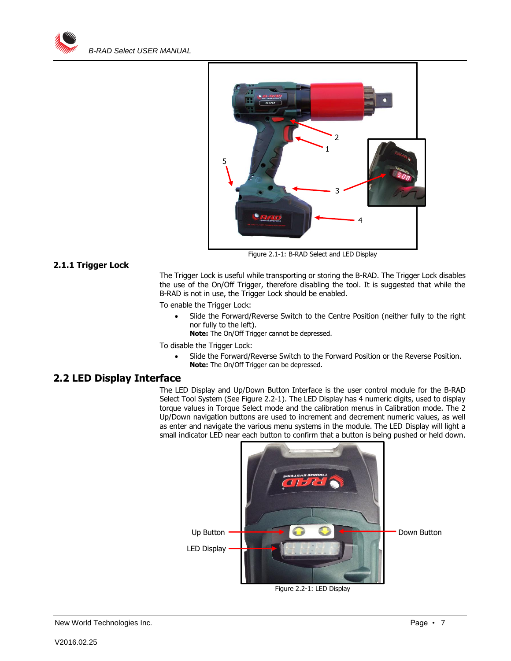



#### <span id="page-6-0"></span>**2.1.1 Trigger Lock**

Figure 2.1-1: B-RAD Select and LED Display

The Trigger Lock is useful while transporting or storing the B-RAD. The Trigger Lock disables the use of the On/Off Trigger, therefore disabling the tool. It is suggested that while the B-RAD is not in use, the Trigger Lock should be enabled.

To enable the Trigger Lock:

 Slide the Forward/Reverse Switch to the Centre Position (neither fully to the right nor fully to the left).

**Note:** The On/Off Trigger cannot be depressed.

To disable the Trigger Lock:

 Slide the Forward/Reverse Switch to the Forward Position or the Reverse Position. **Note:** The On/Off Trigger can be depressed.

### <span id="page-6-1"></span>**2.2 LED Display Interface**

The LED Display and Up/Down Button Interface is the user control module for the B-RAD Select Tool System (See Figure 2.2-1). The LED Display has 4 numeric digits, used to display torque values in Torque Select mode and the calibration menus in Calibration mode. The 2 Up/Down navigation buttons are used to increment and decrement numeric values, as well as enter and navigate the various menu systems in the module. The LED Display will light a small indicator LED near each button to confirm that a button is being pushed or held down.

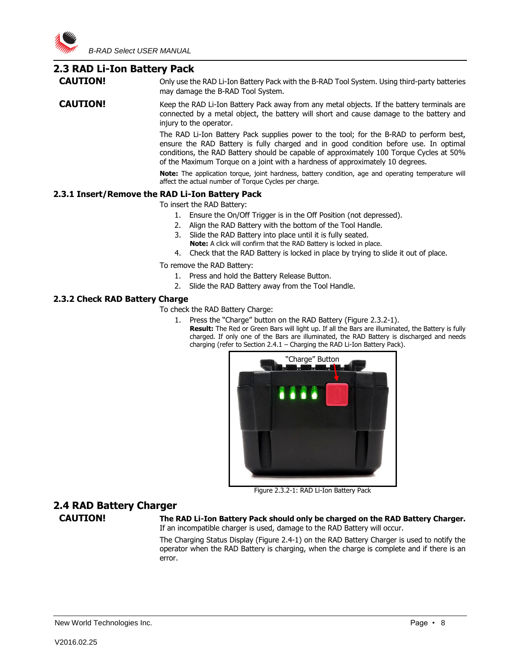## <span id="page-7-0"></span>**2.3 RAD Li-Ion Battery Pack**

**CAUTION!** Only use the RAD Li-Ion Battery Pack with the B-RAD Tool System. Using third-party batteries may damage the B-RAD Tool System.

**CAUTION!** Keep the RAD Li-Ion Battery Pack away from any metal objects. If the battery terminals are connected by a metal object, the battery will short and cause damage to the battery and injury to the operator.

> The RAD Li-Ion Battery Pack supplies power to the tool; for the B-RAD to perform best, ensure the RAD Battery is fully charged and in good condition before use. In optimal conditions, the RAD Battery should be capable of approximately 100 Torque Cycles at 50% of the Maximum Torque on a joint with a hardness of approximately 10 degrees.

> **Note:** The application torque, joint hardness, battery condition, age and operating temperature will affect the actual number of Torque Cycles per charge.

#### <span id="page-7-1"></span>**2.3.1 Insert/Remove the RAD Li-Ion Battery Pack**

To insert the RAD Battery:

- 1. Ensure the On/Off Trigger is in the Off Position (not depressed).
- 2. Align the RAD Battery with the bottom of the Tool Handle.
- 3. Slide the RAD Battery into place until it is fully seated. **Note:** A click will confirm that the RAD Battery is locked in place.
- 4. Check that the RAD Battery is locked in place by trying to slide it out of place.

To remove the RAD Battery:

- 1. Press and hold the Battery Release Button.
- 2. Slide the RAD Battery away from the Tool Handle.

#### <span id="page-7-2"></span>**2.3.2 Check RAD Battery Charge**

To check the RAD Battery Charge:

- 1. Press the "Charge" button on the RAD Battery (Figure 2.3.2-1).
	- **Result:** The Red or Green Bars will light up. If all the Bars are illuminated, the Battery is fully charged. If only one of the Bars are illuminated, the RAD Battery is discharged and needs charging (refer to Section 2.4.1 – Charging the RAD Li-Ion Battery Pack).



Figure 2.3.2-1: RAD Li-Ion Battery Pack

# <span id="page-7-3"></span>**2.4 RAD Battery Charger**

**CAUTION! The RAD Li-Ion Battery Pack should only be charged on the RAD Battery Charger.**  If an incompatible charger is used, damage to the RAD Battery will occur.

> The Charging Status Display (Figure 2.4-1) on the RAD Battery Charger is used to notify the operator when the RAD Battery is charging, when the charge is complete and if there is an error.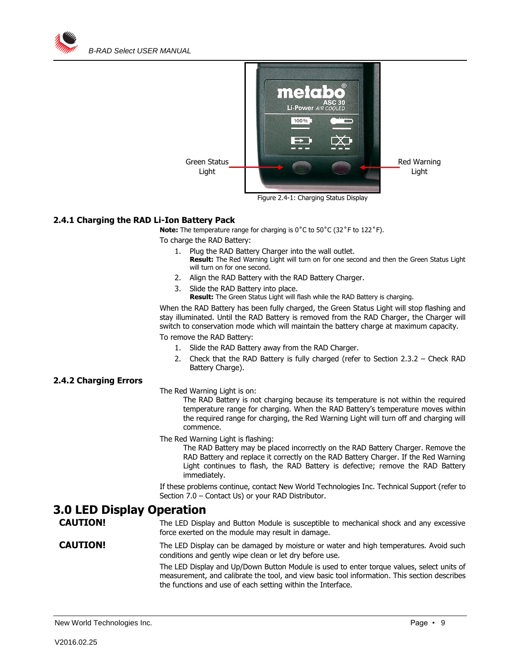



Figure 2.4-1: Charging Status Display

#### <span id="page-8-0"></span>**2.4.1 Charging the RAD Li-Ion Battery Pack**

**Note:** The temperature range for charging is 0°C to 50°C (32°F to 122°F).

To charge the RAD Battery:

- 1. Plug the RAD Battery Charger into the wall outlet. **Result:** The Red Warning Light will turn on for one second and then the Green Status Light will turn on for one second.
- 2. Align the RAD Battery with the RAD Battery Charger.
- 3. Slide the RAD Battery into place.
	- **Result:** The Green Status Light will flash while the RAD Battery is charging.

When the RAD Battery has been fully charged, the Green Status Light will stop flashing and stay illuminated. Until the RAD Battery is removed from the RAD Charger, the Charger will switch to conservation mode which will maintain the battery charge at maximum capacity.

To remove the RAD Battery:

- 1. Slide the RAD Battery away from the RAD Charger.
- 2. Check that the RAD Battery is fully charged (refer to Section 2.3.2 Check RAD Battery Charge).

#### <span id="page-8-1"></span>**2.4.2 Charging Errors**

#### The Red Warning Light is on:

The RAD Battery is not charging because its temperature is not within the required temperature range for charging. When the RAD Battery's temperature moves within the required range for charging, the Red Warning Light will turn off and charging will commence.

The Red Warning Light is flashing:

The RAD Battery may be placed incorrectly on the RAD Battery Charger. Remove the RAD Battery and replace it correctly on the RAD Battery Charger. If the Red Warning Light continues to flash, the RAD Battery is defective; remove the RAD Battery immediately.

If these problems continue, contact New World Technologies Inc. Technical Support (refer to Section 7.0 – Contact Us) or your RAD Distributor.

# <span id="page-8-2"></span>**3.0 LED Display Operation**

**CAUTION!** The LED Display and Button Module is susceptible to mechanical shock and any excessive force exerted on the module may result in damage.

#### **CAUTION!** The LED Display can be damaged by moisture or water and high temperatures. Avoid such conditions and gently wipe clean or let dry before use.

The LED Display and Up/Down Button Module is used to enter torque values, select units of measurement, and calibrate the tool, and view basic tool information. This section describes the functions and use of each setting within the Interface.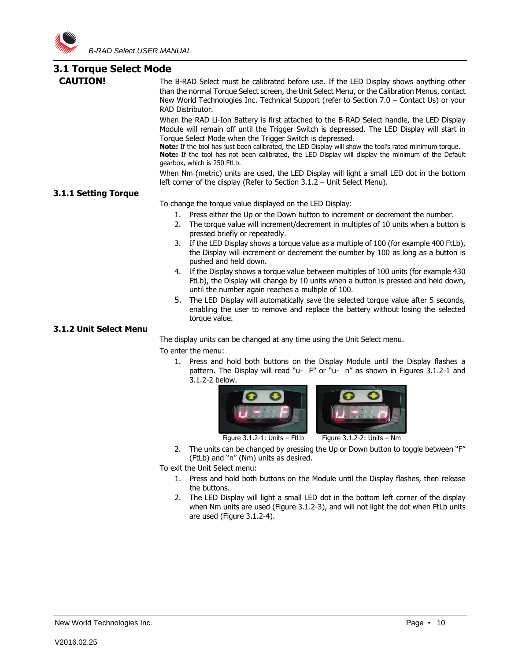

# <span id="page-9-0"></span>**3.1 Torque Select Mode**

<span id="page-9-1"></span>

| <b>J.I TOI QUE SEIECL MOUE</b> |                                                                                                                                                                                                                                                                                                                                                                                                                                                                                                     |  |  |
|--------------------------------|-----------------------------------------------------------------------------------------------------------------------------------------------------------------------------------------------------------------------------------------------------------------------------------------------------------------------------------------------------------------------------------------------------------------------------------------------------------------------------------------------------|--|--|
| <b>CAUTION!</b>                | The B-RAD Select must be calibrated before use. If the LED Display shows anything other<br>than the normal Torque Select screen, the Unit Select Menu, or the Calibration Menus, contact<br>New World Technologies Inc. Technical Support (refer to Section 7.0 - Contact Us) or your<br>RAD Distributor.                                                                                                                                                                                           |  |  |
|                                | When the RAD Li-Ion Battery is first attached to the B-RAD Select handle, the LED Display<br>Module will remain off until the Trigger Switch is depressed. The LED Display will start in<br>Torque Select Mode when the Trigger Switch is depressed.<br>Note: If the tool has just been calibrated, the LED Display will show the tool's rated minimum torque.<br>Note: If the tool has not been calibrated, the LED Display will display the minimum of the Default<br>gearbox, which is 250 FtLb. |  |  |
|                                | When Nm (metric) units are used, the LED Display will light a small LED dot in the bottom<br>left corner of the display (Refer to Section $3.1.2$ – Unit Select Menu).                                                                                                                                                                                                                                                                                                                              |  |  |
| 3.1.1 Setting Torque           |                                                                                                                                                                                                                                                                                                                                                                                                                                                                                                     |  |  |
|                                | To change the torque value displayed on the LED Display:                                                                                                                                                                                                                                                                                                                                                                                                                                            |  |  |
|                                | 1. Press either the Up or the Down button to increment or decrement the number.                                                                                                                                                                                                                                                                                                                                                                                                                     |  |  |
|                                | The torque value will increment/decrement in multiples of 10 units when a button is<br>2.<br>pressed briefly or repeatedly.                                                                                                                                                                                                                                                                                                                                                                         |  |  |
|                                | If the LED Display shows a torque value as a multiple of 100 (for example 400 FtLb),<br>3.<br>the Display will increment or decrement the number by 100 as long as a button is<br>pushed and held down.                                                                                                                                                                                                                                                                                             |  |  |
|                                | If the Display shows a torque value between multiples of 100 units (for example 430<br>4.<br>FtLb), the Display will change by 10 units when a button is pressed and held down,<br>until the number again reaches a multiple of 100.                                                                                                                                                                                                                                                                |  |  |
|                                | 5.<br>The LED Display will automatically save the selected torque value after 5 seconds,<br>enabling the user to remove and replace the battery without losing the selected<br>torque value.                                                                                                                                                                                                                                                                                                        |  |  |
| 3.1.2 Unit Select Menu         |                                                                                                                                                                                                                                                                                                                                                                                                                                                                                                     |  |  |

<span id="page-9-2"></span>The display units can be changed at any time using the Unit Select menu.

To enter the menu:

1. Press and hold both buttons on the Display Module until the Display flashes a pattern. The Display will read "u- F" or "u- n" as shown in Figures 3.1.2-1 and 3.1.2-2 below.





Figure  $3.1.2 - 1$ : Units – FtLb Figure  $3.1.2 - 2$ : Units – Nm

2. The units can be changed by pressing the Up or Down button to toggle between "F" (FtLb) and "n" (Nm) units as desired.

To exit the Unit Select menu:

- 1. Press and hold both buttons on the Module until the Display flashes, then release the buttons.
- 2. The LED Display will light a small LED dot in the bottom left corner of the display when Nm units are used (Figure 3.1.2-3), and will not light the dot when FtLb units are used (Figure 3.1.2-4).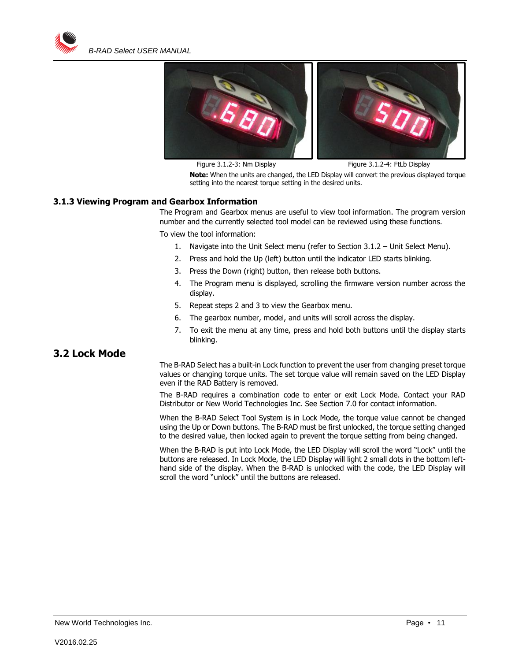



Figure 3.1.2-3: Nm Display Figure 3.1.2-4: FtLb Display

**Note:** When the units are changed, the LED Display will convert the previous displayed torque setting into the nearest torque setting in the desired units.

#### <span id="page-10-0"></span>**3.1.3 Viewing Program and Gearbox Information**

The Program and Gearbox menus are useful to view tool information. The program version number and the currently selected tool model can be reviewed using these functions. To view the tool information:

1. Navigate into the Unit Select menu (refer to Section 3.1.2 – Unit Select Menu).

- 2. Press and hold the Up (left) button until the indicator LED starts blinking.
- 3. Press the Down (right) button, then release both buttons.
- 4. The Program menu is displayed, scrolling the firmware version number across the display.
- 5. Repeat steps 2 and 3 to view the Gearbox menu.
- 6. The gearbox number, model, and units will scroll across the display.
- 7. To exit the menu at any time, press and hold both buttons until the display starts blinking.

## <span id="page-10-1"></span>**3.2 Lock Mode**

The B-RAD Select has a built-in Lock function to prevent the user from changing preset torque values or changing torque units. The set torque value will remain saved on the LED Display even if the RAD Battery is removed.

The B-RAD requires a combination code to enter or exit Lock Mode. Contact your RAD Distributor or New World Technologies Inc. See Section 7.0 for contact information.

When the B-RAD Select Tool System is in Lock Mode, the torque value cannot be changed using the Up or Down buttons. The B-RAD must be first unlocked, the torque setting changed to the desired value, then locked again to prevent the torque setting from being changed.

When the B-RAD is put into Lock Mode, the LED Display will scroll the word "Lock" until the buttons are released. In Lock Mode, the LED Display will light 2 small dots in the bottom lefthand side of the display. When the B-RAD is unlocked with the code, the LED Display will scroll the word "unlock" until the buttons are released.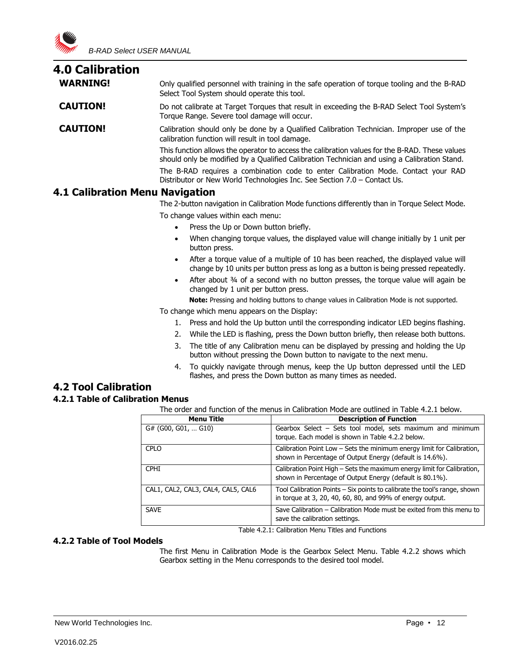<span id="page-11-0"></span>

| <b>4.0 Calibration</b> |                                                                                                                                                                                                |
|------------------------|------------------------------------------------------------------------------------------------------------------------------------------------------------------------------------------------|
| <b>WARNING!</b>        | Only qualified personnel with training in the safe operation of torque tooling and the B-RAD<br>Select Tool System should operate this tool.                                                   |
| <b>CAUTION!</b>        | Do not calibrate at Target Torques that result in exceeding the B-RAD Select Tool System's<br>Torque Range. Severe tool damage will occur.                                                     |
| <b>CAUTION!</b>        | Calibration should only be done by a Qualified Calibration Technician. Improper use of the<br>calibration function will result in tool damage.                                                 |
|                        | This function allows the operator to access the calibration values for the B-RAD. These values<br>should only be modified by a Qualified Calibration Technician and using a Calibration Stand. |
|                        | The B-RAD requires a combination code to enter Calibration Mode. Contact your RAD<br>Distributor or New World Technologies Inc. See Section 7.0 - Contact Us.                                  |
|                        |                                                                                                                                                                                                |

## <span id="page-11-1"></span>**4.1 Calibration Menu Navigation**

The 2-button navigation in Calibration Mode functions differently than in Torque Select Mode.

To change values within each menu:

- Press the Up or Down button briefly.
- When changing torque values, the displayed value will change initially by 1 unit per button press.
- After a torque value of a multiple of 10 has been reached, the displayed value will change by 10 units per button press as long as a button is being pressed repeatedly.
- After about 34 of a second with no button presses, the torque value will again be changed by 1 unit per button press.

**Note:** Pressing and holding buttons to change values in Calibration Mode is not supported.

To change which menu appears on the Display:

- 1. Press and hold the Up button until the corresponding indicator LED begins flashing.
- 2. While the LED is flashing, press the Down button briefly, then release both buttons.
- 3. The title of any Calibration menu can be displayed by pressing and holding the Up button without pressing the Down button to navigate to the next menu.
- 4. To quickly navigate through menus, keep the Up button depressed until the LED flashes, and press the Down button as many times as needed.

# <span id="page-11-2"></span>**4.2 Tool Calibration**

#### <span id="page-11-3"></span>**4.2.1 Table of Calibration Menus**

The order and function of the menus in Calibration Mode are outlined in Table 4.2.1 below.

| <b>Menu Title</b>                  | <b>Description of Function</b>                                                                                                         |
|------------------------------------|----------------------------------------------------------------------------------------------------------------------------------------|
| $G#$ (G00, G01,  G10)              | Gearbox Select - Sets tool model, sets maximum and minimum<br>torque. Each model is shown in Table 4.2.2 below.                        |
| CPLO                               | Calibration Point Low - Sets the minimum energy limit for Calibration,<br>shown in Percentage of Output Energy (default is 14.6%).     |
| <b>CPHI</b>                        | Calibration Point High - Sets the maximum energy limit for Calibration,<br>shown in Percentage of Output Energy (default is 80.1%).    |
| CAL1, CAL2, CAL3, CAL4, CAL5, CAL6 | Tool Calibration Points - Six points to calibrate the tool's range, shown<br>in torque at 3, 20, 40, 60, 80, and 99% of energy output. |
| <b>SAVE</b>                        | Save Calibration – Calibration Mode must be exited from this menu to<br>save the calibration settings.                                 |

Table 4.2.1: Calibration Menu Titles and Functions

#### <span id="page-11-4"></span>**4.2.2 Table of Tool Models**

The first Menu in Calibration Mode is the Gearbox Select Menu. Table 4.2.2 shows which Gearbox setting in the Menu corresponds to the desired tool model.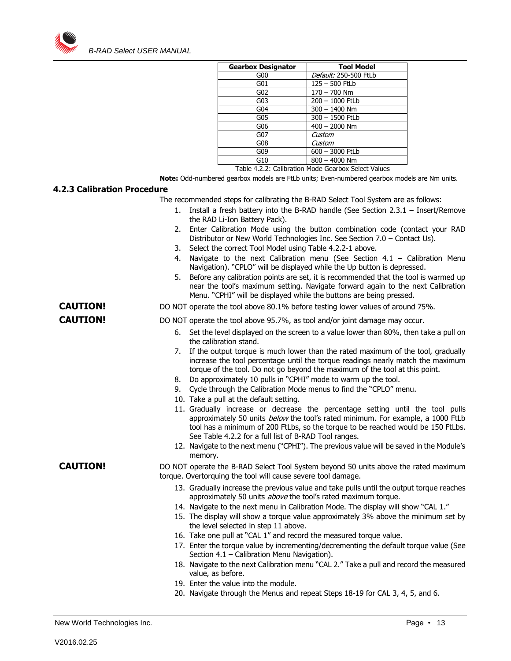

| <b>Gearbox Designator</b> | <b>Tool Model</b>     |
|---------------------------|-----------------------|
| G00                       | Default: 250-500 FtLb |
| G01                       | $125 - 500$ FtLb      |
| G02                       | $170 - 700$ Nm        |
| G03                       | 200 - 1000 FtLb       |
| G04                       | $300 - 1400$ Nm       |
| G05                       | 300 - 1500 FtLb       |
| G06                       | $400 - 2000$ Nm       |
| G07                       | Custom                |
| G08                       | Custom                |
| G09                       | 600 - 3000 FtLb       |
| G10                       | $800 - 4000$ Nm       |

Table 4.2.2: Calibration Mode Gearbox Select Values

**Note:** Odd-numbered gearbox models are FtLb units; Even-numbered gearbox models are Nm units.

#### <span id="page-12-0"></span>**4.2.3 Calibration Procedure**

The recommended steps for calibrating the B-RAD Select Tool System are as follows:

- 1. Install a fresh battery into the B-RAD handle (See Section 2.3.1 Insert/Remove the RAD Li-Ion Battery Pack).
- 2. Enter Calibration Mode using the button combination code (contact your RAD Distributor or New World Technologies Inc. See Section 7.0 – Contact Us).
- 3. Select the correct Tool Model using Table 4.2.2-1 above.
- 4. Navigate to the next Calibration menu (See Section 4.1 Calibration Menu Navigation). "CPLO" will be displayed while the Up button is depressed.
- 5. Before any calibration points are set, it is recommended that the tool is warmed up near the tool's maximum setting. Navigate forward again to the next Calibration Menu. "CPHI" will be displayed while the buttons are being pressed.
- **CAUTION!** DO NOT operate the tool above 80.1% before testing lower values of around 75%.

- **CAUTION!** DO NOT operate the tool above 95.7%, as tool and/or joint damage may occur.
	- 6. Set the level displayed on the screen to a value lower than 80%, then take a pull on the calibration stand.
	- 7. If the output torque is much lower than the rated maximum of the tool, gradually increase the tool percentage until the torque readings nearly match the maximum torque of the tool. Do not go beyond the maximum of the tool at this point.
	- 8. Do approximately 10 pulls in "CPHI" mode to warm up the tool.
	- 9. Cycle through the Calibration Mode menus to find the "CPLO" menu.
	- 10. Take a pull at the default setting.
	- 11. Gradually increase or decrease the percentage setting until the tool pulls approximately 50 units below the tool's rated minimum. For example, a 1000 FtLb tool has a minimum of 200 FtLbs, so the torque to be reached would be 150 FtLbs. See Table 4.2.2 for a full list of B-RAD Tool ranges.
	- 12. Navigate to the next menu ("CPHI"). The previous value will be saved in the Module's memory.

**CAUTION!** DO NOT operate the B-RAD Select Tool System beyond 50 units above the rated maximum torque. Overtorquing the tool will cause severe tool damage.

- 13. Gradually increase the previous value and take pulls until the output torque reaches approximately 50 units *above* the tool's rated maximum torque.
- 14. Navigate to the next menu in Calibration Mode. The display will show "CAL 1."
- 15. The display will show a torque value approximately 3% above the minimum set by the level selected in step 11 above.
- 16. Take one pull at "CAL 1" and record the measured torque value.
- 17. Enter the torque value by incrementing/decrementing the default torque value (See Section 4.1 – Calibration Menu Navigation).
- 18. Navigate to the next Calibration menu "CAL 2." Take a pull and record the measured value, as before.
- 19. Enter the value into the module.
- 20. Navigate through the Menus and repeat Steps 18-19 for CAL 3, 4, 5, and 6.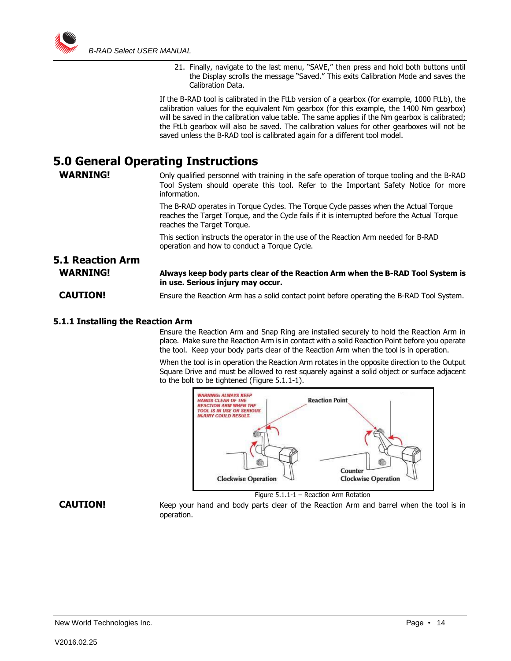

21. Finally, navigate to the last menu, "SAVE," then press and hold both buttons until the Display scrolls the message "Saved." This exits Calibration Mode and saves the Calibration Data.

If the B-RAD tool is calibrated in the FtLb version of a gearbox (for example, 1000 FtLb), the calibration values for the equivalent Nm gearbox (for this example, the 1400 Nm gearbox) will be saved in the calibration value table. The same applies if the Nm gearbox is calibrated; the FtLb gearbox will also be saved. The calibration values for other gearboxes will not be saved unless the B-RAD tool is calibrated again for a different tool model.

# <span id="page-13-0"></span>**5.0 General Operating Instructions**

**WARNING!** Only qualified personnel with training in the safe operation of torque tooling and the B-RAD Tool System should operate this tool. Refer to the Important Safety Notice for more information.

> The B-RAD operates in Torque Cycles. The Torque Cycle passes when the Actual Torque reaches the Target Torque, and the Cycle fails if it is interrupted before the Actual Torque reaches the Target Torque.

This section instructs the operator in the use of the Reaction Arm needed for B-RAD operation and how to conduct a Torque Cycle.

## <span id="page-13-1"></span>**5.1 Reaction Arm WARNING! Always keep body parts clear of the Reaction Arm when the B-RAD Tool System is in use. Serious injury may occur. CAUTION!** Ensure the Reaction Arm has a solid contact point before operating the B-RAD Tool System.

#### <span id="page-13-2"></span>**5.1.1 Installing the Reaction Arm**

Ensure the Reaction Arm and Snap Ring are installed securely to hold the Reaction Arm in place. Make sure the Reaction Arm is in contact with a solid Reaction Point before you operate the tool. Keep your body parts clear of the Reaction Arm when the tool is in operation.

When the tool is in operation the Reaction Arm rotates in the opposite direction to the Output Square Drive and must be allowed to rest squarely against a solid object or surface adjacent to the bolt to be tightened (Figure 5.1.1-1).



Figure 5.1.1-1 – Reaction Arm Rotation

**CAUTION!** Keep your hand and body parts clear of the Reaction Arm and barrel when the tool is in operation.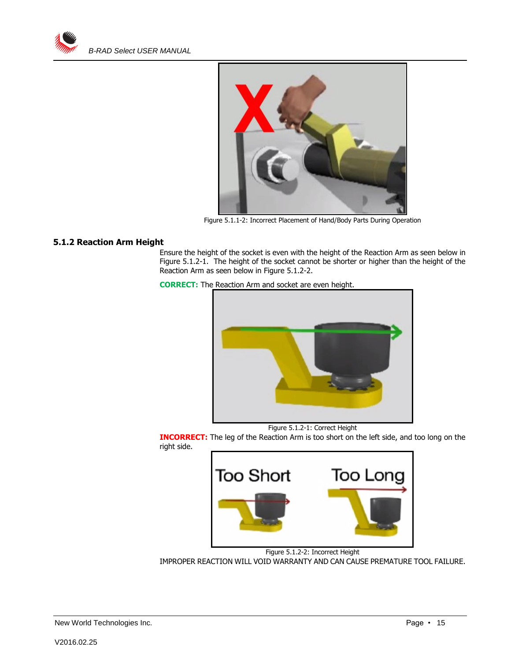



Figure 5.1.1-2: Incorrect Placement of Hand/Body Parts During Operation

#### <span id="page-14-0"></span>**5.1.2 Reaction Arm Height**

Ensure the height of the socket is even with the height of the Reaction Arm as seen below in Figure 5.1.2-1. The height of the socket cannot be shorter or higher than the height of the Reaction Arm as seen below in Figure 5.1.2-2.





Figure 5.1.2-1: Correct Height

**INCORRECT:** The leg of the Reaction Arm is too short on the left side, and too long on the right side.



Figure 5.1.2-2: Incorrect Height IMPROPER REACTION WILL VOID WARRANTY AND CAN CAUSE PREMATURE TOOL FAILURE.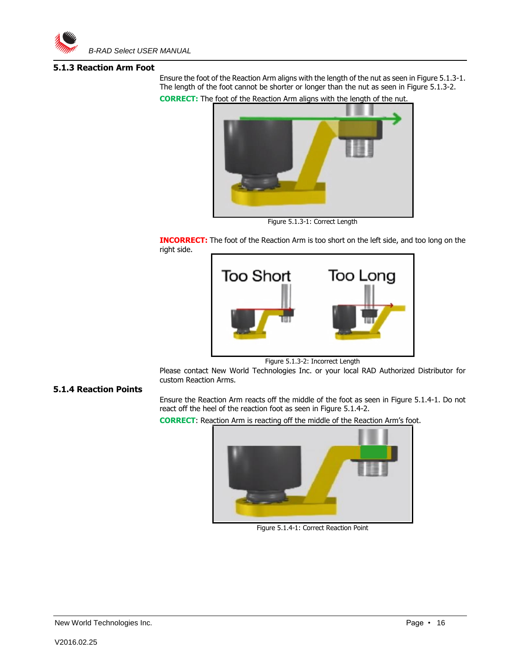

#### <span id="page-15-0"></span>**5.1.3 Reaction Arm Foot**

Ensure the foot of the Reaction Arm aligns with the length of the nut as seen in Figure 5.1.3-1. The length of the foot cannot be shorter or longer than the nut as seen in Figure 5.1.3-2. **CORRECT:** The foot of the Reaction Arm aligns with the length of the nut.



Figure 5.1.3-1: Correct Length

**INCORRECT:** The foot of the Reaction Arm is too short on the left side, and too long on the right side.



Figure 5.1.3-2: Incorrect Length

Please contact New World Technologies Inc. or your local RAD Authorized Distributor for custom Reaction Arms.

#### <span id="page-15-1"></span>**5.1.4 Reaction Points**

Ensure the Reaction Arm reacts off the middle of the foot as seen in Figure 5.1.4-1. Do not react off the heel of the reaction foot as seen in Figure 5.1.4-2.

**CORRECT**: Reaction Arm is reacting off the middle of the Reaction Arm's foot.



Figure 5.1.4-1: Correct Reaction Point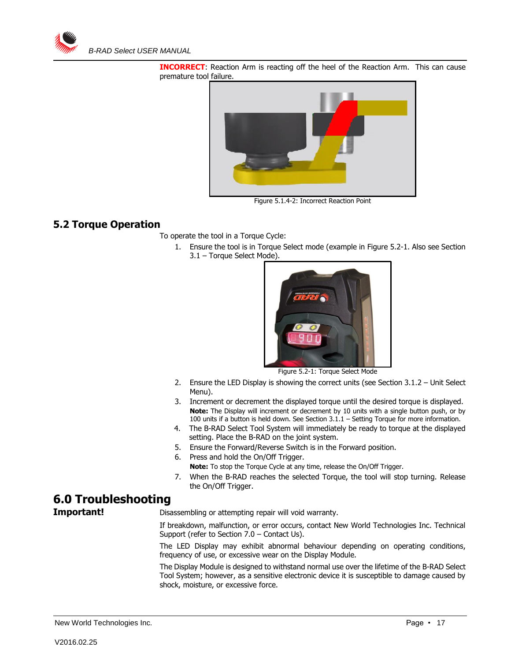

**INCORRECT**: Reaction Arm is reacting off the heel of the Reaction Arm. This can cause premature tool failure.



Figure 5.1.4-2: Incorrect Reaction Point

## <span id="page-16-0"></span>**5.2 Torque Operation**

To operate the tool in a Torque Cycle:

1. Ensure the tool is in Torque Select mode (example in Figure 5.2-1. Also see Section 3.1 – Torque Select Mode).



Figure 5.2-1: Torque Select Mode

- 2. Ensure the LED Display is showing the correct units (see Section 3.1.2 Unit Select Menu).
- 3. Increment or decrement the displayed torque until the desired torque is displayed. **Note:** The Display will increment or decrement by 10 units with a single button push, or by 100 units if a button is held down. See Section 3.1.1 – Setting Torque for more information.
- 4. The B-RAD Select Tool System will immediately be ready to torque at the displayed setting. Place the B-RAD on the joint system.
- 5. Ensure the Forward/Reverse Switch is in the Forward position.
- 6. Press and hold the On/Off Trigger. **Note:** To stop the Torque Cycle at any time, release the On/Off Trigger.
- 7. When the B-RAD reaches the selected Torque, the tool will stop turning. Release the On/Off Trigger.

# <span id="page-16-1"></span>**6.0 Troubleshooting**

**Important!** Disassembling or attempting repair will void warranty.

If breakdown, malfunction, or error occurs, contact New World Technologies Inc. Technical Support (refer to Section 7.0 – Contact Us).

The LED Display may exhibit abnormal behaviour depending on operating conditions, frequency of use, or excessive wear on the Display Module.

The Display Module is designed to withstand normal use over the lifetime of the B-RAD Select Tool System; however, as a sensitive electronic device it is susceptible to damage caused by shock, moisture, or excessive force.